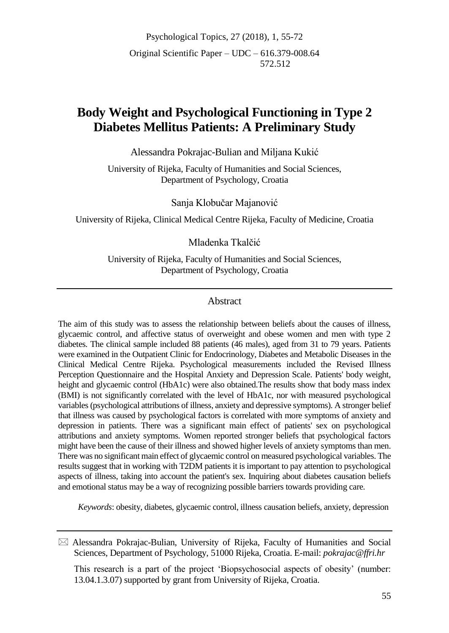Psychological Topics, 27 (2018), 1, 55-72 Original Scientific Paper – UDC – 616.379-008.64 572.512

# **Body Weight and Psychological Functioning in Type 2 Diabetes Mellitus Patients: A Preliminary Study**

Alessandra Pokrajac-Bulian and Miljana Kukić

University of Rijeka, Faculty of Humanities and Social Sciences, Department of Psychology, Croatia

Sanja Klobučar Majanović

University of Rijeka, Clinical Medical Centre Rijeka, Faculty of Medicine, Croatia

### Mladenka Tkalčić

University of Rijeka, Faculty of Humanities and Social Sciences, Department of Psychology, Croatia

### Abstract

The aim of this study was to assess the relationship between beliefs about the causes of illness, glycaemic control, and affective status of overweight and obese women and men with type 2 diabetes. The clinical sample included 88 patients (46 males), aged from 31 to 79 years. Patients were examined in the Outpatient Clinic for Endocrinology, Diabetes and Metabolic Diseases in the Clinical Medical Centre Rijeka. Psychological measurements included the Revised Illness Perception Questionnaire and the Hospital Anxiety and Depression Scale. Patients' body weight, height and glycaemic control (HbA1c) were also obtained.The results show that body mass index (BMI) is not significantly correlated with the level of HbA1c, nor with measured psychological variables (psychological attributions of illness, anxiety and depressive symptoms). A stronger belief that illness was caused by psychological factors is correlated with more symptoms of anxiety and depression in patients. There was a significant main effect of patients' sex on psychological attributions and anxiety symptoms. Women reported stronger beliefs that psychological factors might have been the cause of their illness and showed higher levels of anxiety symptoms than men. There was no significant main effect of glycaemic control on measured psychological variables. The results suggest that in working with T2DM patients it is important to pay attention to psychological aspects of illness, taking into account the patient's sex. Inquiring about diabetes causation beliefs and emotional status may be a way of recognizing possible barriers towards providing care.

*Keywords*: obesity, diabetes, glycaemic control, illness causation beliefs, anxiety, depression

This research is a part of the project 'Biopsychosocial aspects of obesity' (number: 13.04.1.3.07) supported by grant from University of Rijeka, Croatia.

 $\boxtimes$  Alessandra Pokrajac-Bulian, University of Rijeka, Faculty of Humanities and Social Sciences, Department of Psychology, 51000 Rijeka, Croatia. E-mail: *pokrajac@ffri.hr*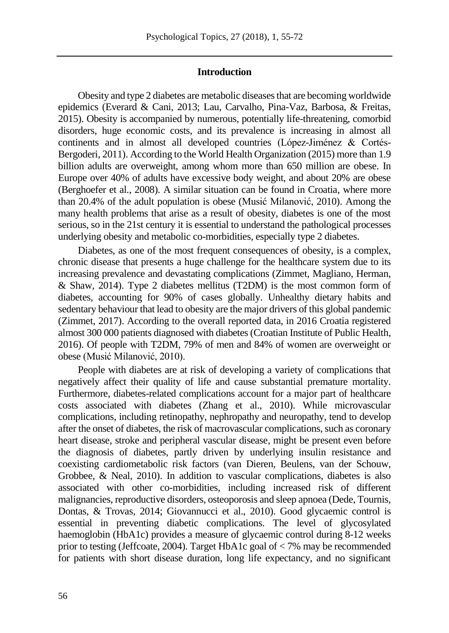### **Introduction**

Obesity and type 2 diabetes are metabolic diseases that are becoming worldwide epidemics (Everard & Cani, 2013; Lau, Carvalho, Pina-Vaz, Barbosa, & Freitas, 2015). Obesity is accompanied by numerous, potentially life-threatening, comorbid disorders, huge economic costs, and its prevalence is increasing in almost all continents and in almost all developed countries (López-Jiménez & Cortés-Bergoderi, 2011). According to the World Health Organization (2015) more than 1.9 billion adults are overweight, among whom more than 650 million are obese. In Europe over 40% of adults have excessive body weight, and about 20% are obese (Berghoefer et al., 2008). A similar situation can be found in Croatia, where more than 20.4% of the adult population is obese (Musić Milanović, 2010). Among the many health problems that arise as a result of obesity, diabetes is one of the most serious, so in the 21st century it is essential to understand the pathological processes underlying obesity and metabolic co-morbidities, especially type 2 diabetes.

Diabetes, as one of the most frequent consequences of obesity, is a complex, chronic disease that presents a huge challenge for the healthcare system due to its increasing prevalence and devastating complications (Zimmet, Magliano, Herman, & Shaw, 2014). Type 2 diabetes mellitus (T2DM) is the most common form of diabetes, accounting for 90% of cases globally. Unhealthy dietary habits and sedentary behaviour that lead to obesity are the major drivers of this global pandemic (Zimmet, 2017). According to the overall reported data, in 2016 Croatia registered almost 300 000 patients diagnosed with diabetes (Croatian Institute of Public Health, 2016). Of people with T2DM, 79% of men and 84% of women are overweight or obese (Musić Milanović, 2010).

People with diabetes are at risk of developing a variety of complications that negatively affect their quality of life and cause substantial premature mortality. Furthermore, diabetes-related complications account for a major part of healthcare costs associated with diabetes (Zhang et al., 2010). While microvascular complications, including retinopathy, nephropathy and neuropathy, tend to develop after the onset of diabetes, the risk of macrovascular complications, such as coronary heart disease, stroke and peripheral vascular disease, might be present even before the diagnosis of diabetes, partly driven by underlying insulin resistance and coexisting cardiometabolic risk factors (van Dieren, Beulens, van der Schouw, Grobbee, & Neal, 2010). In addition to vascular complications, diabetes is also associated with other co-morbidities, including increased risk of different malignancies, reproductive disorders, osteoporosis and sleep apnoea (Dede, Tournis, Dontas, & Trovas, 2014; Giovannucci et al., 2010). Good glycaemic control is essential in preventing diabetic complications. The level of glycosylated haemoglobin (HbA1c) provides a measure of glycaemic control during 8-12 weeks prior to testing (Jeffcoate, 2004). Target HbA1c goal of < 7% may be recommended for patients with short disease duration, long life expectancy, and no significant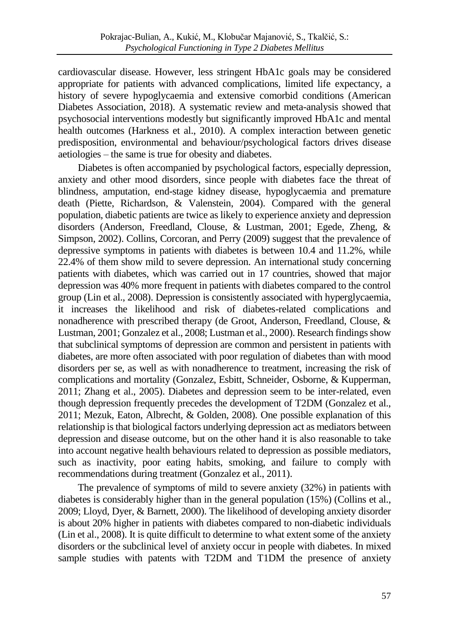cardiovascular disease. However, less stringent HbA1c goals may be considered appropriate for patients with advanced complications, limited life expectancy, a history of severe hypoglycaemia and extensive comorbid conditions (American Diabetes Association, 2018). A systematic review and meta-analysis showed that psychosocial interventions modestly but significantly improved HbA1c and mental health outcomes (Harkness et al., 2010). A complex interaction between genetic predisposition, environmental and behaviour/psychological factors drives disease aetiologies – the same is true for obesity and diabetes.

Diabetes is often accompanied by psychological factors, especially depression, anxiety and other mood disorders, since people with diabetes face the threat of blindness, amputation, end-stage kidney disease, hypoglycaemia and premature death (Piette, Richardson, & Valenstein, 2004). Compared with the general population, diabetic patients are twice as likely to experience anxiety and depression disorders (Anderson, Freedland, Clouse, & Lustman, 2001; Egede, Zheng, & Simpson, 2002). Collins, Corcoran, and Perry (2009) suggest that the prevalence of depressive symptoms in patients with diabetes is between 10.4 and 11.2%, while 22.4% of them show mild to severe depression. An international study concerning patients with diabetes, which was carried out in 17 countries, showed that major depression was 40% more frequent in patients with diabetes compared to the control group (Lin et al., 2008). Depression is consistently associated with hyperglycaemia, it increases the likelihood and risk of diabetes-related complications and nonadherence with prescribed therapy (de Groot, Anderson, Freedland, Clouse, & Lustman, 2001; Gonzalez et al., 2008; Lustman et al., 2000). Research findings show that subclinical symptoms of depression are common and persistent in patients with diabetes, are more often associated with poor regulation of diabetes than with mood disorders per se, as well as with nonadherence to treatment, increasing the risk of complications and mortality (Gonzalez, Esbitt, Schneider, Osborne, & Kupperman, 2011; Zhang et al., 2005). Diabetes and depression seem to be inter-related, even though depression frequently precedes the development of T2DM (Gonzalez et al., 2011; Mezuk, Eaton, Albrecht, & Golden, 2008). One possible explanation of this relationship is that biological factors underlying depression act as mediators between depression and disease outcome, but on the other hand it is also reasonable to take into account negative health behaviours related to depression as possible mediators, such as inactivity, poor eating habits, smoking, and failure to comply with recommendations during treatment (Gonzalez et al., 2011).

The prevalence of symptoms of mild to severe anxiety (32%) in patients with diabetes is considerably higher than in the general population (15%) (Collins et al., 2009; Lloyd, Dyer, & Barnett, 2000). The likelihood of developing anxiety disorder is about 20% higher in patients with diabetes compared to non-diabetic individuals (Lin et al., 2008). It is quite difficult to determine to what extent some of the anxiety disorders or the subclinical level of anxiety occur in people with diabetes. In mixed sample studies with patents with T2DM and T1DM the presence of anxiety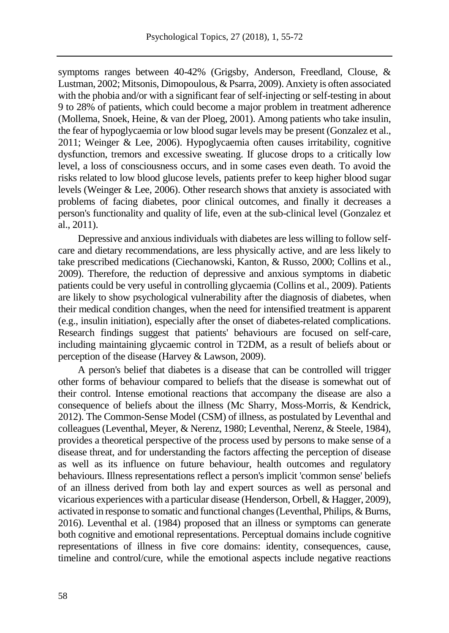symptoms ranges between 40-42% (Grigsby, Anderson, Freedland, Clouse, & Lustman, 2002; Mitsonis, Dimopoulous, & Psarra, 2009). Anxiety is often associated with the phobia and/or with a significant fear of self-injecting or self-testing in about 9 to 28% of patients, which could become a major problem in treatment adherence (Mollema, Snoek, Heine, & van der Ploeg, 2001). Among patients who take insulin, the fear of hypoglycaemia or low blood sugar levels may be present (Gonzalez et al., 2011; Weinger & Lee, 2006). Hypoglycaemia often causes irritability, cognitive dysfunction, tremors and excessive sweating. If glucose drops to a critically low level, a loss of consciousness occurs, and in some cases even death. To avoid the risks related to low blood glucose levels, patients prefer to keep higher blood sugar levels (Weinger & Lee, 2006). Other research shows that anxiety is associated with problems of facing diabetes, poor clinical outcomes, and finally it decreases a person's functionality and quality of life, even at the sub-clinical level (Gonzalez et al., 2011).

Depressive and anxious individuals with diabetes are less willing to follow selfcare and dietary recommendations, are less physically active, and are less likely to take prescribed medications (Ciechanowski, Kanton, & Russo, 2000; Collins et al., 2009). Therefore, the reduction of depressive and anxious symptoms in diabetic patients could be very useful in controlling glycaemia (Collins et al., 2009). Patients are likely to show psychological vulnerability after the diagnosis of diabetes, when their medical condition changes, when the need for intensified treatment is apparent (e.g., insulin initiation), especially after the onset of diabetes-related complications. Research findings suggest that patients' behaviours are focused on self-care, including maintaining glycaemic control in T2DM, as a result of beliefs about or perception of the disease (Harvey & Lawson, 2009).

A person's belief that diabetes is a disease that can be controlled will trigger other forms of behaviour compared to beliefs that the disease is somewhat out of their control. Intense emotional reactions that accompany the disease are also a consequence of beliefs about the illness (Mc Sharry, Moss-Morris, & Kendrick, 2012). The Common-Sense Model (CSM) of illness, as postulated by Leventhal and colleagues (Leventhal, Meyer, & Nerenz, 1980; Leventhal, Nerenz, & Steele, 1984), provides a theoretical perspective of the process used by persons to make sense of a disease threat, and for understanding the factors affecting the perception of disease as well as its influence on future behaviour, health outcomes and regulatory behaviours. Illness representations reflect a person's implicit 'common sense' beliefs of an illness derived from both lay and expert sources as well as personal and vicarious experiences with a particular disease (Henderson, Orbell, & Hagger, 2009), activated in response to somatic and functional changes (Leventhal, Philips, & Burns, 2016). Leventhal et al. (1984) proposed that an illness or symptoms can generate both cognitive and emotional representations. Perceptual domains include cognitive representations of illness in five core domains: identity, consequences, cause, timeline and control/cure, while the emotional aspects include negative reactions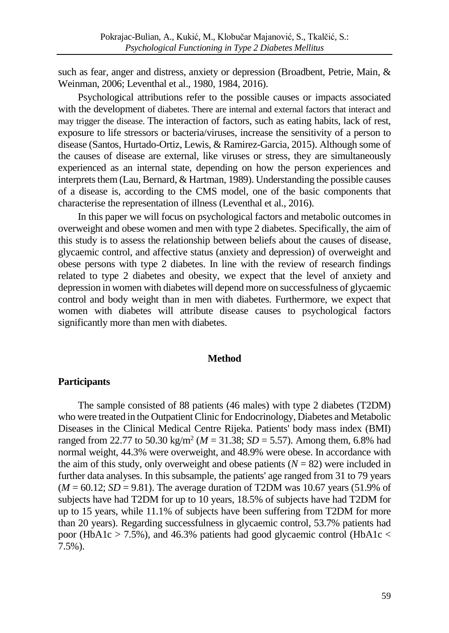such as fear, anger and distress, anxiety or depression (Broadbent, Petrie, Main, & Weinman, 2006; Leventhal et al., 1980, 1984, 2016).

Psychological attributions refer to the possible causes or impacts associated with the development of diabetes. There are internal and external factors that interact and may trigger the disease. The interaction of factors, such as eating habits, lack of rest, exposure to life stressors or bacteria/viruses, increase the sensitivity of a person to disease (Santos, Hurtado-Ortiz, Lewis, & Ramirez-Garcia, 2015). Although some of the causes of disease are external, like viruses or stress, they are simultaneously experienced as an internal state, depending on how the person experiences and interprets them (Lau, Bernard, & Hartman, 1989). Understanding the possible causes of a disease is, according to the CMS model, one of the basic components that characterise the representation of illness (Leventhal et al., 2016).

In this paper we will focus on psychological factors and metabolic outcomes in overweight and obese women and men with type 2 diabetes. Specifically, the aim of this study is to assess the relationship between beliefs about the causes of disease, glycaemic control, and affective status (anxiety and depression) of overweight and obese persons with type 2 diabetes. In line with the review of research findings related to type 2 diabetes and obesity, we expect that the level of anxiety and depression in women with diabetes will depend more on successfulness of glycaemic control and body weight than in men with diabetes. Furthermore, we expect that women with diabetes will attribute disease causes to psychological factors significantly more than men with diabetes.

### **Method**

#### **Participants**

The sample consisted of 88 patients (46 males) with type 2 diabetes (T2DM) who were treated in the Outpatient Clinic for Endocrinology, Diabetes and Metabolic Diseases in the Clinical Medical Centre Rijeka. Patients' body mass index (BMI) ranged from 22.77 to 50.30 kg/m<sup>2</sup> ( $M = 31.38$ ;  $SD = 5.57$ ). Among them, 6.8% had normal weight, 44.3% were overweight, and 48.9% were obese. In accordance with the aim of this study, only overweight and obese patients  $(N = 82)$  were included in further data analyses. In this subsample, the patients' age ranged from 31 to 79 years  $(M = 60.12; SD = 9.81)$ . The average duration of T2DM was 10.67 years (51.9% of subjects have had T2DM for up to 10 years, 18.5% of subjects have had T2DM for up to 15 years, while 11.1% of subjects have been suffering from T2DM for more than 20 years). Regarding successfulness in glycaemic control, 53.7% patients had poor (HbA1c > 7.5%), and 46.3% patients had good glycaemic control (HbA1c < 7.5%).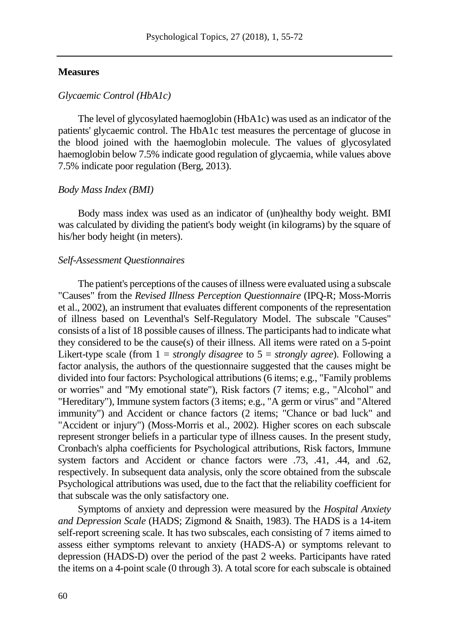### **Measures**

### *Glycaemic Control (HbA1c)*

The level of glycosylated haemoglobin (HbA1c) was used as an indicator of the patients' glycaemic control. The HbA1c test measures the percentage of glucose in the blood joined with the haemoglobin molecule. The values of glycosylated haemoglobin below 7.5% indicate good regulation of glycaemia, while values above 7.5% indicate poor regulation (Berg, 2013).

### *Body Mass Index (BMI)*

Body mass index was used as an indicator of (un)healthy body weight. BMI was calculated by dividing the patient's body weight (in kilograms) by the square of his/her body height (in meters).

### *Self-Assessment Questionnaires*

The patient's perceptions of the causes of illness were evaluated using a subscale "Causes" from the *Revised Illness Perception Questionnaire* (IPQ-R; Moss-Morris et al., 2002), an instrument that evaluates different components of the representation of illness based on Leventhal's Self-Regulatory Model. The subscale "Causes" consists of a list of 18 possible causes of illness. The participants had to indicate what they considered to be the cause(s) of their illness. All items were rated on a 5-point Likert-type scale (from 1 = *strongly disagree* to 5 = *strongly agree*). Following a factor analysis, the authors of the questionnaire suggested that the causes might be divided into four factors: Psychological attributions (6 items; e.g., "Family problems or worries" and "My emotional state"), Risk factors (7 items; e.g., "Alcohol" and "Hereditary"), Immune system factors (3 items; e.g., "A germ or virus" and "Altered immunity") and Accident or chance factors (2 items; "Chance or bad luck" and "Accident or injury") (Moss-Morris et al., 2002). Higher scores on each subscale represent stronger beliefs in a particular type of illness causes. In the present study, Cronbach's alpha coefficients for Psychological attributions, Risk factors, Immune system factors and Accident or chance factors were .73, .41, .44, and .62, respectively. In subsequent data analysis, only the score obtained from the subscale Psychological attributions was used, due to the fact that the reliability coefficient for that subscale was the only satisfactory one.

Symptoms of anxiety and depression were measured by the *Hospital Anxiety and Depression Scale* (HADS; Zigmond & Snaith, 1983). The HADS is a 14-item self-report screening scale. It has two subscales, each consisting of 7 items aimed to assess either symptoms relevant to anxiety (HADS-A) or symptoms relevant to depression (HADS-D) over the period of the past 2 weeks. Participants have rated the items on a 4-point scale (0 through 3). A total score for each subscale is obtained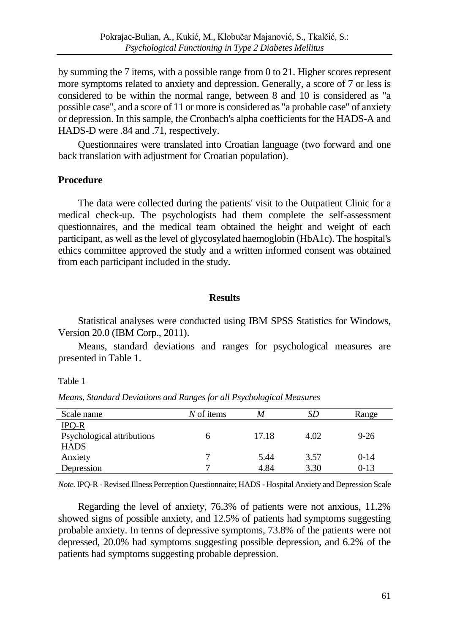by summing the 7 items, with a possible range from 0 to 21. Higher scores represent more symptoms related to anxiety and depression. Generally, a score of 7 or less is considered to be within the normal range, between 8 and 10 is considered as "a possible case", and a score of 11 or more is considered as "a probable case" of anxiety or depression. In this sample, the Cronbach's alpha coefficients for the HADS-A and HADS-D were .84 and .71, respectively.

Questionnaires were translated into Croatian language (two forward and one back translation with adjustment for Croatian population).

### **Procedure**

The data were collected during the patients' visit to the Outpatient Clinic for a medical check-up. The psychologists had them complete the self-assessment questionnaires, and the medical team obtained the height and weight of each participant, as well as the level of glycosylated haemoglobin (HbA1c). The hospital's ethics committee approved the study and a written informed consent was obtained from each participant included in the study.

### **Results**

Statistical analyses were conducted using IBM SPSS Statistics for Windows, Version 20.0 (IBM Corp., 2011).

Means, standard deviations and ranges for psychological measures are presented in Table 1.

Table 1

| Scale name                 | N of items | M     | SD   | Range    |
|----------------------------|------------|-------|------|----------|
| $IPQ-R$                    |            |       |      |          |
| Psychological attributions |            | 17.18 | 4.02 | $9 - 26$ |
| <b>HADS</b>                |            |       |      |          |
| Anxiety                    |            | 5.44  | 3.57 | $0-14$   |
| Depression                 | −          | 4.84  | 3.30 | $0-13$   |

*Means, Standard Deviations and Ranges for all Psychological Measures*

*Note.*IPQ-R -Revised Illness Perception Questionnaire; HADS - Hospital Anxiety and Depression Scale

Regarding the level of anxiety, 76.3% of patients were not anxious, 11.2% showed signs of possible anxiety, and 12.5% of patients had symptoms suggesting probable anxiety. In terms of depressive symptoms, 73.8% of the patients were not depressed, 20.0% had symptoms suggesting possible depression, and 6.2% of the patients had symptoms suggesting probable depression.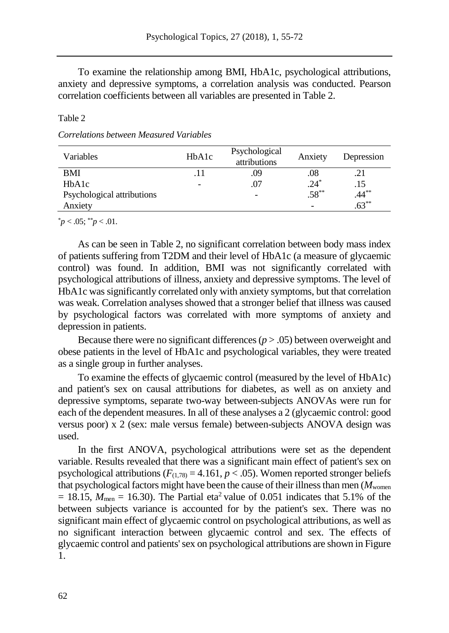To examine the relationship among BMI, HbA1c, psychological attributions, anxiety and depressive symptoms, a correlation analysis was conducted. Pearson correlation coefficients between all variables are presented in Table 2.

### Table 2

### *Correlations between Measured Variables*

| Variables                       | HbA1c | Psychological<br>attributions | Anxiety  | Depression |
|---------------------------------|-------|-------------------------------|----------|------------|
| <b>BMI</b>                      |       | .09                           | .08      | .21        |
| H <sub>b</sub> A <sub>1</sub> c |       | .07                           | $.24*$   | .15        |
| Psychological attributions      |       | $\overline{a}$                | $.58***$ | $.44***$   |
| Anxiety                         |       |                               |          | $.63***$   |

 $p^*$ *p* < .05;  $p^*$  /*p* < .01.

As can be seen in Table 2, no significant correlation between body mass index of patients suffering from T2DM and their level of HbA1c (a measure of glycaemic control) was found. In addition, BMI was not significantly correlated with psychological attributions of illness, anxiety and depressive symptoms. The level of HbA1c was significantly correlated only with anxiety symptoms, but that correlation was weak. Correlation analyses showed that a stronger belief that illness was caused by psychological factors was correlated with more symptoms of anxiety and depression in patients.

Because there were no significant differences  $(p > .05)$  between overweight and obese patients in the level of HbA1c and psychological variables, they were treated as a single group in further analyses.

To examine the effects of glycaemic control (measured by the level of HbA1c) and patient's sex on causal attributions for diabetes, as well as on anxiety and depressive symptoms, separate two-way between-subjects ANOVAs were run for each of the dependent measures. In all of these analyses a 2 (glycaemic control: good versus poor) x 2 (sex: male versus female) between-subjects ANOVA design was used.

In the first ANOVA, psychological attributions were set as the dependent variable. Results revealed that there was a significant main effect of patient's sex on psychological attributions  $(F_{(1,78)} = 4.161, p < .05)$ . Women reported stronger beliefs that psychological factors might have been the cause of their illness than men  $(M_{\text{women}})$  $= 18.15$ ,  $M_{\text{men}} = 16.30$ ). The Partial eta<sup>2</sup> value of 0.051 indicates that 5.1% of the between subjects variance is accounted for by the patient's sex. There was no significant main effect of glycaemic control on psychological attributions, as well as no significant interaction between glycaemic control and sex. The effects of glycaemic control and patients'sex on psychological attributions are shown in Figure 1.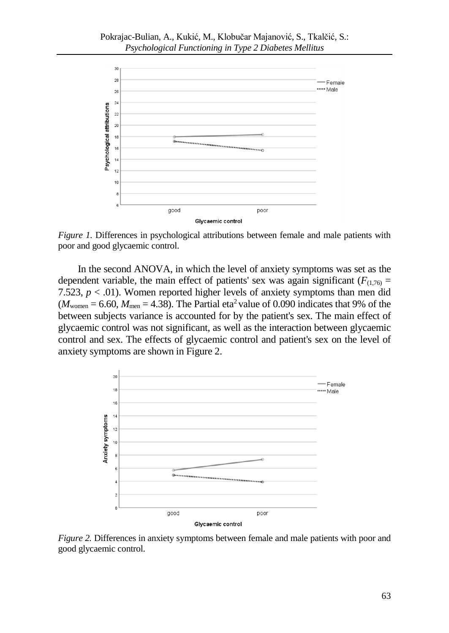

*Figure 1.* Differences in psychological attributions between female and male patients with poor and good glycaemic control.

In the second ANOVA, in which the level of anxiety symptoms was set as the dependent variable, the main effect of patients' sex was again significant ( $F_{(1,76)}$  = 7.523,  $p < .01$ ). Women reported higher levels of anxiety symptoms than men did  $(M_{\text{women}} = 6.60, M_{\text{men}} = 4.38)$ . The Partial eta<sup>2</sup> value of 0.090 indicates that 9% of the between subjects variance is accounted for by the patient's sex. The main effect of glycaemic control was not significant, as well as the interaction between glycaemic control and sex. The effects of glycaemic control and patient's sex on the level of anxiety symptoms are shown in Figure 2.



*Figure 2.* Differences in anxiety symptoms between female and male patients with poor and good glycaemic control.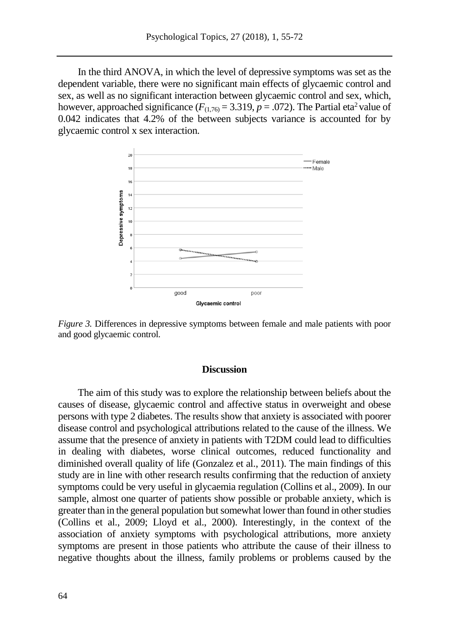In the third ANOVA, in which the level of depressive symptoms was set as the dependent variable, there were no significant main effects of glycaemic control and sex, as well as no significant interaction between glycaemic control and sex, which, however, approached significance  $(F_{(1,76)} = 3.319, p = .072)$ . The Partial eta<sup>2</sup> value of 0.042 indicates that 4.2% of the between subjects variance is accounted for by glycaemic control x sex interaction.



*Figure 3.* Differences in depressive symptoms between female and male patients with poor and good glycaemic control.

### **Discussion**

The aim of this study was to explore the relationship between beliefs about the causes of disease, glycaemic control and affective status in overweight and obese persons with type 2 diabetes. The results show that anxiety is associated with poorer disease control and psychological attributions related to the cause of the illness. We assume that the presence of anxiety in patients with T2DM could lead to difficulties in dealing with diabetes, worse clinical outcomes, reduced functionality and diminished overall quality of life (Gonzalez et al., 2011). The main findings of this study are in line with other research results confirming that the reduction of anxiety symptoms could be very useful in glycaemia regulation (Collins et al., 2009). In our sample, almost one quarter of patients show possible or probable anxiety, which is greater than in the general population but somewhat lower than found in other studies (Collins et al., 2009; Lloyd et al., 2000). Interestingly, in the context of the association of anxiety symptoms with psychological attributions, more anxiety symptoms are present in those patients who attribute the cause of their illness to negative thoughts about the illness, family problems or problems caused by the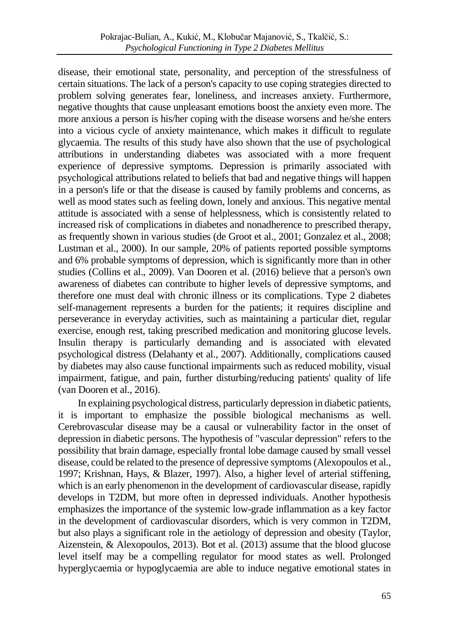disease, their emotional state, personality, and perception of the stressfulness of certain situations. The lack of a person's capacity to use coping strategies directed to problem solving generates fear, loneliness, and increases anxiety. Furthermore, negative thoughts that cause unpleasant emotions boost the anxiety even more. The more anxious a person is his/her coping with the disease worsens and he/she enters into a vicious cycle of anxiety maintenance, which makes it difficult to regulate glycaemia. The results of this study have also shown that the use of psychological attributions in understanding diabetes was associated with a more frequent experience of depressive symptoms. Depression is primarily associated with psychological attributions related to beliefs that bad and negative things will happen in a person's life or that the disease is caused by family problems and concerns, as well as mood states such as feeling down, lonely and anxious. This negative mental attitude is associated with a sense of helplessness, which is consistently related to increased risk of complications in diabetes and nonadherence to prescribed therapy, as frequently shown in various studies (de Groot et al., 2001; Gonzalez et al., 2008; Lustman et al., 2000). In our sample, 20% of patients reported possible symptoms and 6% probable symptoms of depression, which is significantly more than in other studies (Collins et al., 2009). Van Dooren et al. (2016) believe that a person's own awareness of diabetes can contribute to higher levels of depressive symptoms, and therefore one must deal with chronic illness or its complications. Type 2 diabetes self-management represents a burden for the patients; it requires discipline and perseverance in everyday activities, such as maintaining a particular diet, regular exercise, enough rest, taking prescribed medication and monitoring glucose levels. Insulin therapy is particularly demanding and is associated with elevated psychological distress (Delahanty et al., 2007). Additionally, complications caused by diabetes may also cause functional impairments such as reduced mobility, visual impairment, fatigue, and pain, further disturbing/reducing patients' quality of life (van Dooren et al., 2016).

In explaining psychological distress, particularly depression in diabetic patients, it is important to emphasize the possible biological mechanisms as well. Cerebrovascular disease may be a causal or vulnerability factor in the onset of depression in diabetic persons. The hypothesis of "vascular depression" refers to the possibility that brain damage, especially frontal lobe damage caused by small vessel disease, could be related to the presence of depressive symptoms (Alexopoulos et al., 1997; Krishnan, Hays, & Blazer, 1997). Also, a higher level of arterial stiffening, which is an early phenomenon in the development of cardiovascular disease, rapidly develops in T2DM, but more often in depressed individuals. Another hypothesis emphasizes the importance of the systemic low-grade inflammation as a key factor in the development of cardiovascular disorders, which is very common in T2DM, but also plays a significant role in the aetiology of depression and obesity (Taylor, Aizenstein, & Alexopoulos, 2013). Bot et al. (2013) assume that the blood glucose level itself may be a compelling regulator for mood states as well. Prolonged hyperglycaemia or hypoglycaemia are able to induce negative emotional states in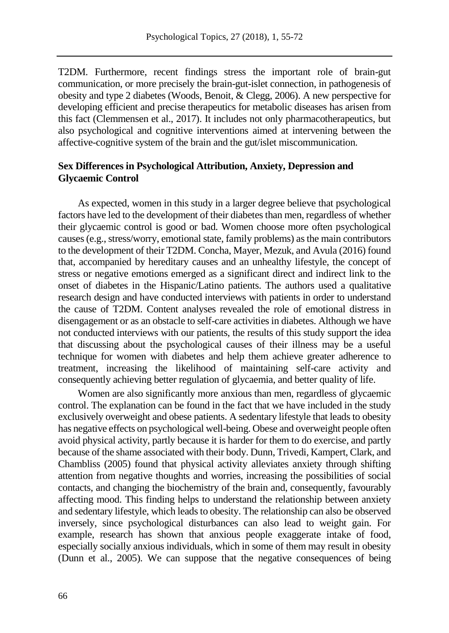T2DM. Furthermore, recent findings stress the important role of brain-gut communication, or more precisely the brain-gut-islet connection, in pathogenesis of obesity and type 2 diabetes (Woods, Benoit, & Clegg, 2006). A new perspective for developing efficient and precise therapeutics for metabolic diseases has arisen from this fact (Clemmensen et al., 2017). It includes not only pharmacotherapeutics, but also psychological and cognitive interventions aimed at intervening between the affective-cognitive system of the brain and the gut/islet miscommunication.

### **Sex Differences in Psychological Attribution, Anxiety, Depression and Glycaemic Control**

As expected, women in this study in a larger degree believe that psychological factors have led to the development of their diabetes than men, regardless of whether their glycaemic control is good or bad. Women choose more often psychological causes (e.g., stress/worry, emotional state, family problems) as the main contributors to the development of their T2DM. Concha, Mayer, Mezuk, and Avula (2016) found that, accompanied by hereditary causes and an unhealthy lifestyle, the concept of stress or negative emotions emerged as a significant direct and indirect link to the onset of diabetes in the Hispanic/Latino patients. The authors used a qualitative research design and have conducted interviews with patients in order to understand the cause of T2DM. Content analyses revealed the role of emotional distress in disengagement or as an obstacle to self-care activities in diabetes. Although we have not conducted interviews with our patients, the results of this study support the idea that discussing about the psychological causes of their illness may be a useful technique for women with diabetes and help them achieve greater adherence to treatment, increasing the likelihood of maintaining self-care activity and consequently achieving better regulation of glycaemia, and better quality of life.

Women are also significantly more anxious than men, regardless of glycaemic control. The explanation can be found in the fact that we have included in the study exclusively overweight and obese patients. A sedentary lifestyle that leads to obesity has negative effects on psychological well-being. Obese and overweight people often avoid physical activity, partly because it is harder for them to do exercise, and partly because of the shame associated with their body. Dunn, Trivedi, Kampert, Clark, and Chambliss (2005) found that physical activity alleviates anxiety through shifting attention from negative thoughts and worries, increasing the possibilities of social contacts, and changing the biochemistry of the brain and, consequently, favourably affecting mood. This finding helps to understand the relationship between anxiety and sedentary lifestyle, which leads to obesity. The relationship can also be observed inversely, since psychological disturbances can also lead to weight gain. For example, research has shown that anxious people exaggerate intake of food, especially socially anxious individuals, which in some of them may result in obesity (Dunn et al., 2005). We can suppose that the negative consequences of being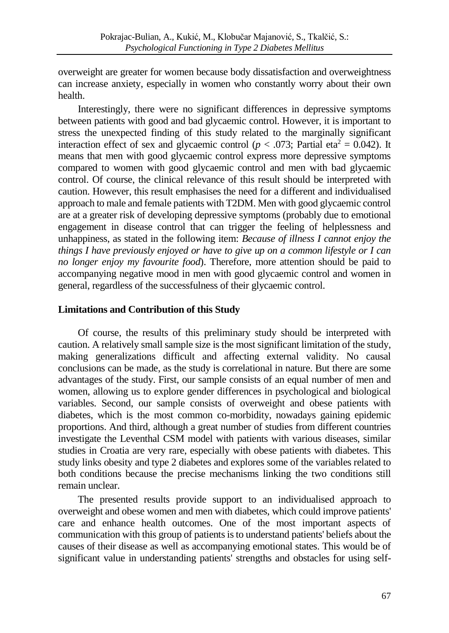overweight are greater for women because body dissatisfaction and overweightness can increase anxiety, especially in women who constantly worry about their own health.

Interestingly, there were no significant differences in depressive symptoms between patients with good and bad glycaemic control. However, it is important to stress the unexpected finding of this study related to the marginally significant interaction effect of sex and glycaemic control ( $p < .073$ ; Partial eta<sup>2</sup> = 0.042). It means that men with good glycaemic control express more depressive symptoms compared to women with good glycaemic control and men with bad glycaemic control. Of course, the clinical relevance of this result should be interpreted with caution. However, this result emphasises the need for a different and individualised approach to male and female patients with T2DM. Men with good glycaemic control are at a greater risk of developing depressive symptoms (probably due to emotional engagement in disease control that can trigger the feeling of helplessness and unhappiness, as stated in the following item: *Because of illness I cannot enjoy the things I have previously enjoyed or have to give up on a common lifestyle or I can no longer enjoy my favourite food*). Therefore, more attention should be paid to accompanying negative mood in men with good glycaemic control and women in general, regardless of the successfulness of their glycaemic control.

### **Limitations and Contribution of this Study**

Of course, the results of this preliminary study should be interpreted with caution. A relatively small sample size is the most significant limitation of the study, making generalizations difficult and affecting external validity. No causal conclusions can be made, as the study is correlational in nature. But there are some advantages of the study. First, our sample consists of an equal number of men and women, allowing us to explore gender differences in psychological and biological variables. Second, our sample consists of overweight and obese patients with diabetes, which is the most common co-morbidity, nowadays gaining epidemic proportions. And third, although a great number of studies from different countries investigate the Leventhal CSM model with patients with various diseases, similar studies in Croatia are very rare, especially with obese patients with diabetes. This study links obesity and type 2 diabetes and explores some of the variables related to both conditions because the precise mechanisms linking the two conditions still remain unclear.

The presented results provide support to an individualised approach to overweight and obese women and men with diabetes, which could improve patients' care and enhance health outcomes. One of the most important aspects of communication with this group of patients is to understand patients' beliefs about the causes of their disease as well as accompanying emotional states. This would be of significant value in understanding patients' strengths and obstacles for using self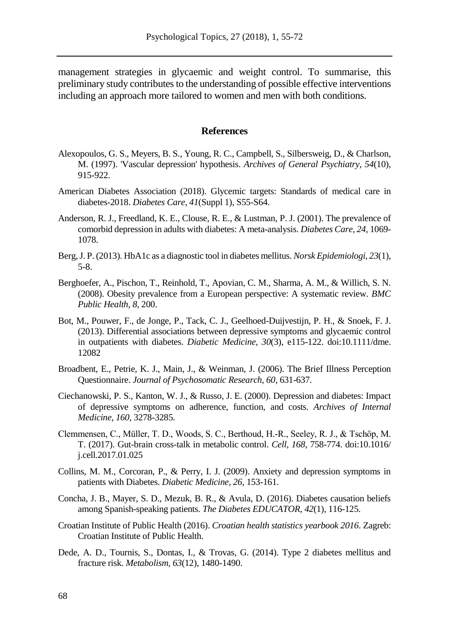management strategies in glycaemic and weight control. To summarise, this preliminary study contributes to the understanding of possible effective interventions including an approach more tailored to women and men with both conditions.

#### **References**

- Alexopoulos, G. S., Meyers, B. S., Young, R. C., Campbell, S., Silbersweig, D., & Charlson, M. (1997). 'Vascular depression' hypothesis. *Archives of General Psychiatry, 54*(10), 915-922.
- American Diabetes Association (2018). Glycemic targets: Standards of medical care in diabetes-2018. *Diabetes Care, 41*(Suppl 1), S55-S64.
- Anderson, R. J., Freedland, K. E., Clouse, R. E., & Lustman, P. J. (2001). The prevalence of comorbid depression in adults with diabetes: A meta-analysis. *Diabetes Care, 24*, 1069- 1078.
- Berg, J. P. (2013). HbA1c as a diagnostic tool in diabetes mellitus. *Norsk Epidemiologi, 23*(1), 5-8.
- Berghoefer, A., Pischon, T., Reinhold, T., Apovian, C. M., Sharma, A. M., & Willich, S. N. (2008). Obesity prevalence from a European perspective: A systematic review. *BMC Public Health, 8*, 200.
- Bot, M., Pouwer, F., de Jonge, P., Tack, C. J., Geelhoed-Duijvestijn, P. H., & Snoek, F. J. (2013). Differential associations between depressive symptoms and glycaemic control in outpatients with diabetes. *Diabetic Medicine, 30*(3), e115-122. doi:10.1111/dme. 12082
- Broadbent, E., Petrie, K. J., Main, J., & Weinman, J. (2006). The Brief Illness Perception Questionnaire. *Journal of Psychosomatic Research, 60*, 631-637.
- Ciechanowski, P. S., Kanton, W. J., & Russo, J. E. (2000). Depression and diabetes: Impact of depressive symptoms on adherence, function, and costs. *Archives of Internal Medicine, 160*, 3278-3285.
- Clemmensen, C., Müller, T. D., Woods, S. C., Berthoud, H.-R., Seeley, R. J., & Tschöp, M. T. (2017). Gut-brain cross-talk in metabolic control. *Cell, 168*, 758-774. doi:10.1016/ j.cell.2017.01.025
- Collins, M. M., Corcoran, P., & Perry, I. J. (2009). Anxiety and depression symptoms in patients with Diabetes. *Diabetic Medicine, 26*, 153-161.
- Concha, J. B., Mayer, S. D., Mezuk, B. R., & Avula, D. (2016). Diabetes causation beliefs among Spanish-speaking patients. *The Diabetes EDUCATOR, 42*(1), 116-125.
- Croatian Institute of Public Health (2016). *Croatian health statistics yearbook 2016*. Zagreb: Croatian Institute of Public Health.
- Dede, A. D., Tournis, S., Dontas, I., & Trovas, G. (2014). Type 2 diabetes mellitus and fracture risk. *Metabolism, 63*(12), 1480-1490.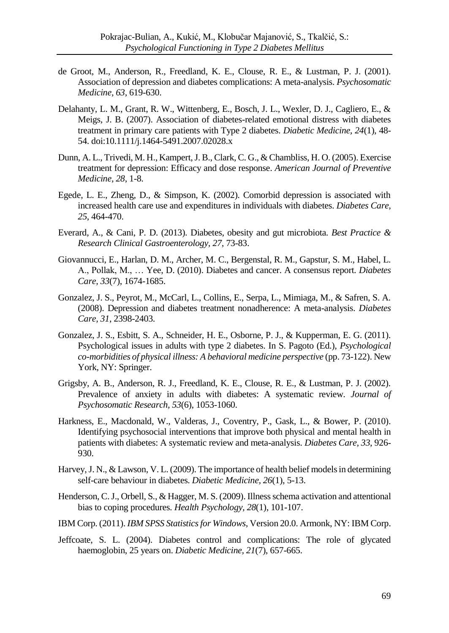- de Groot, M., Anderson, R., Freedland, K. E., Clouse, R. E., & Lustman, P. J. (2001). Association of depression and diabetes complications: A meta-analysis. *Psychosomatic Medicine, 63*, 619-630.
- Delahanty, L. M., Grant, R. W., Wittenberg, E., Bosch, J. L., Wexler, D. J., Cagliero, E., & Meigs, J. B. (2007). Association of diabetes-related emotional distress with diabetes treatment in primary care patients with Type 2 diabetes. *Diabetic Medicine, 24*(1), 48- 54. doi:10.1111/j.1464-5491.2007.02028.x
- Dunn, A. L., Trivedi, M. H., Kampert, J. B., Clark, C. G., & Chambliss, H. O. (2005). Exercise treatment for depression: Efficacy and dose response. *American Journal of Preventive Medicine, 28*, 1-8.
- Egede, L. E., Zheng, D., & Simpson, K. (2002). Comorbid depression is associated with increased health care use and expenditures in individuals with diabetes. *Diabetes Care, 25*, 464-470.
- Everard, A., & Cani, P. D. (2013). Diabetes, obesity and gut microbiota. *Best Practice & Research Clinical Gastroenterology, 27*, 73-83.
- Giovannucci, E., Harlan, D. M., Archer, M. C., Bergenstal, R. M., Gapstur, S. M., Habel, L. A., Pollak, M., … Yee, D. (2010). Diabetes and cancer. A consensus report. *Diabetes Care, 33*(7), 1674-1685.
- Gonzalez, J. S., Peyrot, M., McCarl, L., Collins, E., Serpa, L., Mimiaga, M., & Safren, S. A. (2008). Depression and diabetes treatment nonadherence: A meta-analysis. *Diabetes Care, 31*, 2398-2403.
- Gonzalez, J. S., Esbitt, S. A., Schneider, H. E., Osborne, P. J., & Kupperman, E. G. (2011). Psychological issues in adults with type 2 diabetes. In S. Pagoto (Ed.), *Psychological co-morbidities of physical illness: A behavioral medicine perspective* (pp. 73-122). New York, NY: Springer.
- Grigsby, A. B., Anderson, R. J., Freedland, K. E., Clouse, R. E., & Lustman, P. J. (2002). Prevalence of anxiety in adults with diabetes: A systematic review. *Journal of Psychosomatic Research, 53*(6), 1053-1060.
- Harkness, E., Macdonald, W., Valderas, J., Coventry, P., Gask, L., & Bower, P. (2010). Identifying psychosocial interventions that improve both physical and mental health in patients with diabetes: A systematic review and meta-analysis. *Diabetes Care, 33*, 926- 930.
- Harvey, J. N., & Lawson, V. L. (2009). The importance of health belief models in determining self-care behaviour in diabetes. *Diabetic Medicine, 26*(1), 5-13.
- Henderson, C. J., Orbell, S., & Hagger, M. S. (2009). Illness schema activation and attentional bias to coping procedures. *Health Psychology, 28*(1), 101-107.
- IBM Corp. (2011). *IBM SPSS Statistics for Windows*, Version 20.0. Armonk, NY: IBM Corp.
- Jeffcoate, S. L. (2004). Diabetes control and complications: The role of glycated haemoglobin, 25 years on. *Diabetic Medicine, 21*(7), 657-665.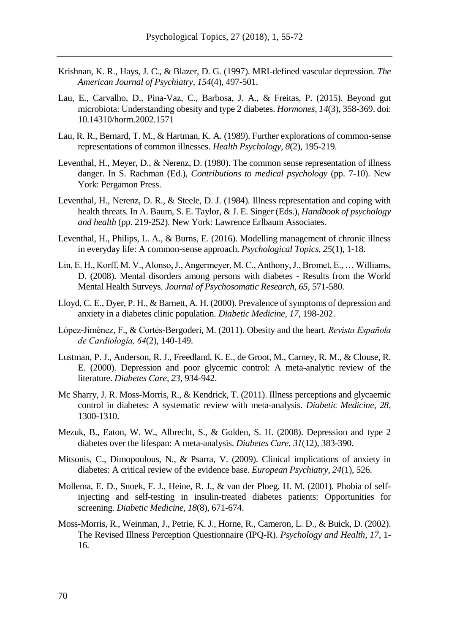- Krishnan, K. R., Hays, J. C., & Blazer, D. G. (1997). MRI-defined vascular depression. *The American Journal of Psychiatry, 154*(4), 497-501.
- Lau, E., Carvalho, D., Pina-Vaz, C., Barbosa, J. A., & Freitas, P. (2015). Beyond gut microbiota: Understanding obesity and type 2 diabetes. *Hormones, 14*(3), 358-369. doi: 10.14310/horm.2002.1571
- Lau, R. R., Bernard, T. M., & Hartman, K. A. (1989). Further explorations of common-sense representations of common illnesses. *Health Psychology, 8*(2), 195-219.
- Leventhal, H., Meyer, D., & Nerenz, D. (1980). The common sense representation of illness danger. In S. Rachman (Ed.), *Contributions to medical psychology* (pp. 7-10). New York: Pergamon Press.
- Leventhal, H., Nerenz, D. R., & Steele, D. J. (1984). Illness representation and coping with health threats. In A. Baum, S. E. Taylor, & J. E. Singer (Eds.), *Handbook of psychology and health* (pp. 219-252). New York: Lawrence Erlbaum Associates.
- Leventhal, H., Philips, L. A., & Burns, E. (2016). Modelling management of chronic illness in everyday life: A common-sense approach. *Psychological Topics, 25*(1), 1-18.
- Lin, E. H., Korff, M. V., Alonso, J., Angermeyer, M. C., Anthony, J., Bromet, E., … Williams, D. (2008). Mental disorders among persons with diabetes - Results from the World Mental Health Surveys. *Journal of Psychosomatic Research, 65*, 571-580.
- Lloyd, C. E., Dyer, P. H., & Barnett, A. H. (2000). Prevalence of symptoms of depression and anxiety in a diabetes clinic population. *Diabetic Medicine, 17*, 198-202.
- López-Jiménez, F., & Cortés-Bergoderi, M. (2011). Obesity and the heart. *Revista Española de Cardiología, 64*(2), 140-149.
- Lustman, P. J., Anderson, R. J., Freedland, K. E., de Groot, M., Carney, R. M., & Clouse, R. E. (2000). Depression and poor glycemic control: A meta-analytic review of the literature. *Diabetes Care, 23*, 934-942.
- Mc Sharry, J. R. Moss-Morris, R., & Kendrick, T. (2011). Illness perceptions and glycaemic control in diabetes: A systematic review with meta-analysis. *Diabetic Medicine, 28*, 1300-1310.
- Mezuk, B., Eaton, W. W., Albrecht, S., & Golden, S. H. (2008). Depression and type 2 diabetes over the lifespan: A meta-analysis. *Diabetes Care, 31*(12), 383-390.
- Mitsonis, C., Dimopoulous, N., & Psarra, V. (2009). Clinical implications of anxiety in diabetes: A critical review of the evidence base. *European Psychiatry, 24*(1), 526.
- Mollema, E. D., Snoek, F. J., Heine, R. J., & van der Ploeg, H. M. (2001). Phobia of selfinjecting and self-testing in insulin-treated diabetes patients: Opportunities for screening. *Diabetic Medicine, 18*(8), 671-674.
- Moss-Morris, R., Weinman, J., Petrie, K. J., Horne, R., Cameron, L. D., & Buick, D. (2002). The Revised Illness Perception Questionnaire (IPQ-R). *Psychology and Health, 17*, 1- 16.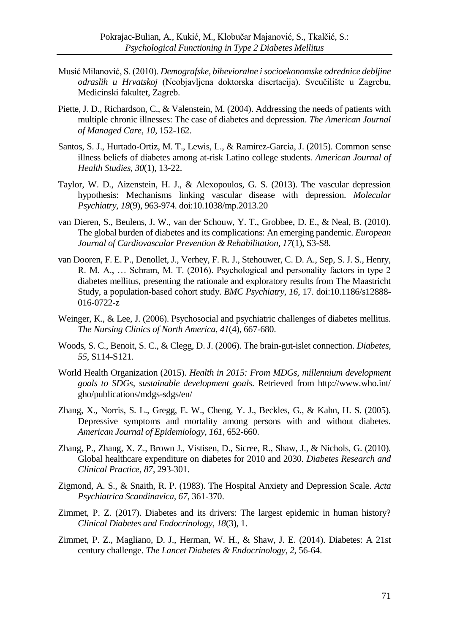- Musić Milanović, S. (2010). *Demografske, bihevioralne i socioekonomske odrednice debljine odraslih u Hrvatskoj* (Neobjavljena doktorska disertacija). Sveučilište u Zagrebu, Medicinski fakultet, Zagreb.
- Piette, J. D., Richardson, C., & Valenstein, M. (2004). Addressing the needs of patients with multiple chronic illnesses: The case of diabetes and depression. *The American Journal of Managed Care, 10*, 152-162.
- Santos, S. J., Hurtado-Ortiz, M. T., Lewis, L., & Ramirez-Garcia, J. (2015). Common sense illness beliefs of diabetes among at-risk Latino college students. *American Journal of Health Studies, 30*(1), 13-22.
- Taylor, W. D., Aizenstein, H. J., & Alexopoulos, G. S. (2013). The vascular depression hypothesis: Mechanisms linking vascular disease with depression. *Molecular Psychiatry, 18*(9), 963-974. doi:10.1038/mp.2013.20
- van Dieren, S., Beulens, J. W., van der Schouw, Y. T., Grobbee, D. E., & Neal, B. (2010). The global burden of diabetes and its complications: An emerging pandemic. *European Journal of Cardiovascular Prevention & Rehabilitation, 17*(1), S3-S8.
- van Dooren, F. E. P., Denollet, J., Verhey, F. R. J., Stehouwer, C. D. A., Sep, S. J. S., Henry, R. M. A., … Schram, M. T. (2016). Psychological and personality factors in type 2 diabetes mellitus, presenting the rationale and exploratory results from The Maastricht Study, a population-based cohort study. *BMC Psychiatry*, *16*, 17. doi:10.1186/s12888- 016-0722-z
- Weinger, K., & Lee, J. (2006). Psychosocial and psychiatric challenges of diabetes mellitus. *The Nursing Clinics of North America, 41*(4), 667-680.
- Woods, S. C., Benoit, S. C., & Clegg, D. J. (2006). The brain-gut-islet connection. *Diabetes, 55*, S114-S121.
- World Health Organization (2015). *Health in 2015: From MDGs, millennium development goals to SDGs, sustainable development goals*. Retrieved from http://www.who.int/ gho/publications/mdgs-sdgs/en/
- Zhang, X., Norris, S. L., Gregg, E. W., Cheng, Y. J., Beckles, G., & Kahn, H. S. (2005). Depressive symptoms and mortality among persons with and without diabetes. *American Journal of Epidemiology, 161*, 652-660.
- Zhang, P., Zhang, X. Z., Brown J., Vistisen, D., Sicree, R., Shaw, J., & Nichols, G. (2010). Global healthcare expenditure on diabetes for 2010 and 2030. *Diabetes Research and Clinical Practice, 87*, 293-301.
- Zigmond, A. S., & Snaith, R. P. (1983). The Hospital Anxiety and Depression Scale. *Acta Psychiatrica Scandinavica, 67*, 361-370.
- Zimmet, P. Z. (2017). Diabetes and its drivers: The largest epidemic in human history? *Clinical Diabetes and Endocrinology, 18*(3), 1.
- Zimmet, P. Z., Magliano, D. J., Herman, W. H., & Shaw, J. E. (2014). Diabetes: A 21st century challenge. *The Lancet Diabetes & Endocrinology, 2*, 56-64.